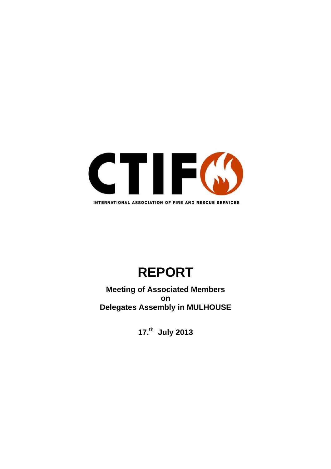

# **REPORT**

**Meeting of Associated Members on Delegates Assembly in MULHOUSE** 

**17.th July 2013**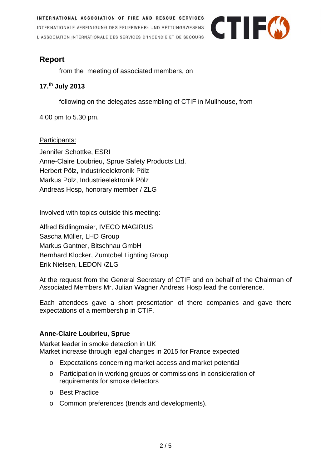INTERNATIONAL ASSOCIATION OF FIRE AND RESCUE SERVICES INTERNATIONALE VEREINIGUNG DES FEUERWEHR- UND RETTUNGSWESENS L'ASSOCIATION INTERNATIONALE DES SERVICES D'INCENDIE ET DE SECOURS



## **Report**

from the meeting of associated members, on

## **17.th July 2013**

following on the delegates assembling of CTIF in Mullhouse, from

4.00 pm to 5.30 pm.

## Participants:

Jennifer Schottke, ESRI Anne-Claire Loubrieu, Sprue Safety Products Ltd. Herbert Pölz, Industrieelektronik Pölz Markus Pölz, Industrieelektronik Pölz Andreas Hosp, honorary member / ZLG

Involved with topics outside this meeting:

Alfred Bidlingmaier, IVECO MAGIRUS Sascha Müller, LHD Group Markus Gantner, Bitschnau GmbH Bernhard Klocker, Zumtobel Lighting Group Erik Nielsen, LEDON /ZLG

At the request from the General Secretary of CTIF and on behalf of the Chairman of Associated Members Mr. Julian Wagner Andreas Hosp lead the conference.

Each attendees gave a short presentation of there companies and gave there expectations of a membership in CTIF.

## **Anne-Claire Loubrieu, Sprue**

Market leader in smoke detection in UK Market increase through legal changes in 2015 for France expected

- o Expectations concerning market access and market potential
- o Participation in working groups or commissions in consideration of requirements for smoke detectors
- o Best Practice
- o Common preferences (trends and developments).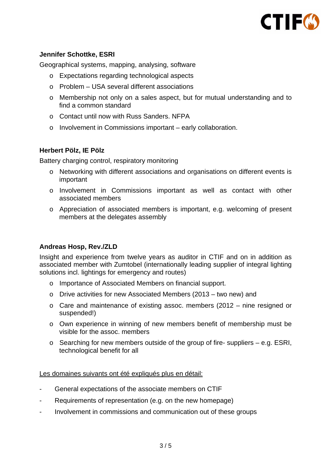

### **Jennifer Schottke, ESRI**

Geographical systems, mapping, analysing, software

- o Expectations regarding technological aspects
- o Problem USA several different associations
- o Membership not only on a sales aspect, but for mutual understanding and to find a common standard
- o Contact until now with Russ Sanders. NFPA
- o Involvement in Commissions important early collaboration.

### **Herbert Pölz, IE Pölz**

Battery charging control, respiratory monitoring

- o Networking with different associations and organisations on different events is important
- o Involvement in Commissions important as well as contact with other associated members
- o Appreciation of associated members is important, e.g. welcoming of present members at the delegates assembly

### **Andreas Hosp, Rev./ZLD**

Insight and experience from twelve years as auditor in CTIF and on in addition as associated member with Zumtobel (internationally leading supplier of integral lighting solutions incl. lightings for emergency and routes)

- o Importance of Associated Members on financial support.
- o Drive activities for new Associated Members (2013 two new) and
- o Care and maintenance of existing assoc. members (2012 nine resigned or suspended!)
- o Own experience in winning of new members benefit of membership must be visible for the assoc. members
- $\circ$  Searching for new members outside of the group of fire-suppliers e.g. ESRI, technological benefit for all

Les domaines suivants ont été expliqués plus en détail:

- General expectations of the associate members on CTIF
- Requirements of representation (e.g. on the new homepage)
- Involvement in commissions and communication out of these groups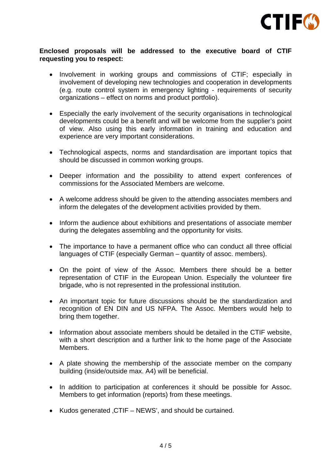

#### **Enclosed proposals will be addressed to the executive board of CTIF requesting you to respect:**

- Involvement in working groups and commissions of CTIF; especially in involvement of developing new technologies and cooperation in developments (e.g. route control system in emergency lighting - requirements of security organizations – effect on norms and product portfolio).
- Especially the early involvement of the security organisations in technological developments could be a benefit and will be welcome from the supplier's point of view. Also using this early information in training and education and experience are very important considerations.
- Technological aspects, norms and standardisation are important topics that should be discussed in common working groups.
- Deeper information and the possibility to attend expert conferences of commissions for the Associated Members are welcome.
- A welcome address should be given to the attending associates members and inform the delegates of the development activities provided by them.
- Inform the audience about exhibitions and presentations of associate member during the delegates assembling and the opportunity for visits.
- The importance to have a permanent office who can conduct all three official languages of CTIF (especially German – quantity of assoc. members).
- On the point of view of the Assoc. Members there should be a better representation of CTIF in the European Union. Especially the volunteer fire brigade, who is not represented in the professional institution.
- An important topic for future discussions should be the standardization and recognition of EN DIN and US NFPA. The Assoc. Members would help to bring them together.
- Information about associate members should be detailed in the CTIF website, with a short description and a further link to the home page of the Associate Members.
- A plate showing the membership of the associate member on the company building (inside/outside max. A4) will be beneficial.
- In addition to participation at conferences it should be possible for Assoc. Members to get information (reports) from these meetings.
- Kudos generated , CTIF NEWS', and should be curtained.